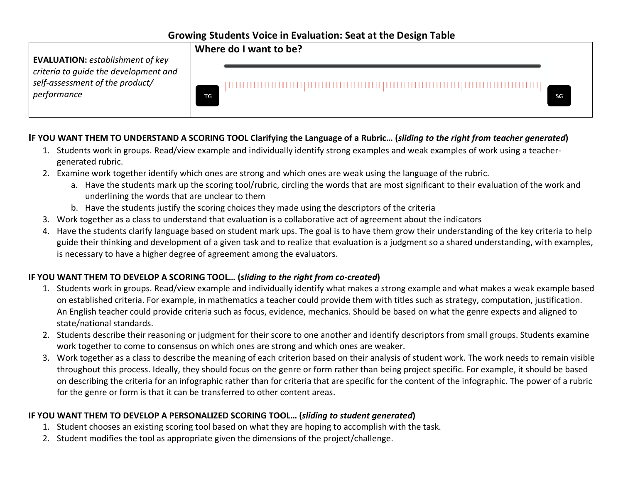# **Growing Students Voice in Evaluation: Seat at the Design Table**

**Where do I want to be? EVALUATION:** *establishment of key criteria to guide the development and self-assessment of the product/ performance* TG

### **IF YOU WANT THEM TO UNDERSTAND A SCORING TOOL Clarifying the Language of a Rubric… (***sliding to the right from teacher generated***)**

- 1. Students work in groups. Read/view example and individually identify strong examples and weak examples of work using a teachergenerated rubric.
- 2. Examine work together identify which ones are strong and which ones are weak using the language of the rubric.
	- a. Have the students mark up the scoring tool/rubric, circling the words that are most significant to their evaluation of the work and underlining the words that are unclear to them

SG

- b. Have the students justify the scoring choices they made using the descriptors of the criteria
- 3. Work together as a class to understand that evaluation is a collaborative act of agreement about the indicators
- 4. Have the students clarify language based on student mark ups. The goal is to have them grow their understanding of the key criteria to help guide their thinking and development of a given task and to realize that evaluation is a judgment so a shared understanding, with examples, is necessary to have a higher degree of agreement among the evaluators.

### **IF YOU WANT THEM TO DEVELOP A SCORING TOOL… (***sliding to the right from co-created***)**

- 1. Students work in groups. Read/view example and individually identify what makes a strong example and what makes a weak example based on established criteria. For example, in mathematics a teacher could provide them with titles such as strategy, computation, justification. An English teacher could provide criteria such as focus, evidence, mechanics. Should be based on what the genre expects and aligned to state/national standards.
- 2. Students describe their reasoning or judgment for their score to one another and identify descriptors from small groups. Students examine work together to come to consensus on which ones are strong and which ones are weaker.
- 3. Work together as a class to describe the meaning of each criterion based on their analysis of student work. The work needs to remain visible throughout this process. Ideally, they should focus on the genre or form rather than being project specific. For example, it should be based on describing the criteria for an infographic rather than for criteria that are specific for the content of the infographic. The power of a rubric for the genre or form is that it can be transferred to other content areas.

# **IF YOU WANT THEM TO DEVELOP A PERSONALIZED SCORING TOOL… (***sliding to student generated***)**

- 1. Student chooses an existing scoring tool based on what they are hoping to accomplish with the task.
- 2. Student modifies the tool as appropriate given the dimensions of the project/challenge.